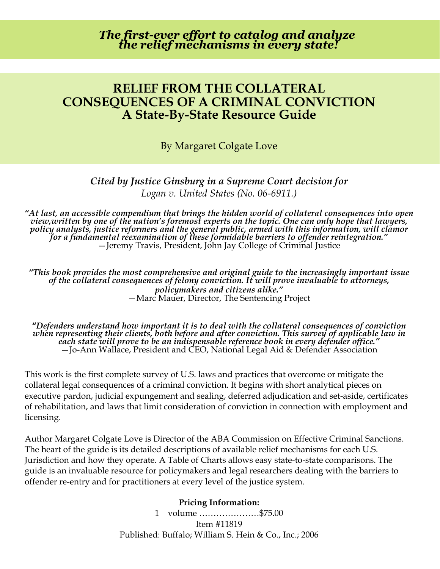*The first-ever effort to catalog and analyze the relief mechanisms in every state!*

## **RELIEF FROM THE COLLATERAL CONSEQUENCES OF A CRIMINAL CONVICTION A State-By-State Resource Guide**

By Margaret Colgate Love

## *Cited by Justice Ginsburg in a Supreme Court decision for Logan v. United States (No. 06-6911.)*

*"At last, an accessible compendium that brings the hidden world of collateral consequences into open view,written by one of the nation's foremost experts on the topic. One can only hope that lawyers, policy analysts, justice reformers and the general public, armed with this information, will clamor for a fundamental reexamination of these formidable barriers to offender reintegration."* —Jeremy Travis, President, John Jay College of Criminal Justice

*"This book provides the most comprehensive and original guide to the increasingly important issue of the collateral consequences of felony conviction. It will prove invaluable to attorneys, policymakers and citizens alike."* —Marc Mauer, Director, The Sentencing Project

**"***Defenders understand how important it is to deal with the collateral consequences of conviction when representing their clients, both before and after conviction. This survey of applicable law in each state will prove to be an indispensable reference book in every defender office."* —Jo-Ann Wallace, President and CEO, National Legal Aid & Defender Association

This work is the first complete survey of U.S. laws and practices that overcome or mitigate the collateral legal consequences of a criminal conviction. It begins with short analytical pieces on executive pardon, judicial expungement and sealing, deferred adjudication and set-aside, certificates of rehabilitation, and laws that limit consideration of conviction in connection with employment and licensing.

Author Margaret Colgate Love is Director of the ABA Commission on Effective Criminal Sanctions. The heart of the guide is its detailed descriptions of available relief mechanisms for each U.S. Jurisdiction and how they operate. A Table of Charts allows easy state-to-state comparisons. The guide is an invaluable resource for policymakers and legal researchers dealing with the barriers to offender re-entry and for practitioners at every level of the justice system.

## **Pricing Information:**

1 volume …………………\$75.00 Item #11819 Published: Buffalo; William S. Hein & Co., Inc.; 2006